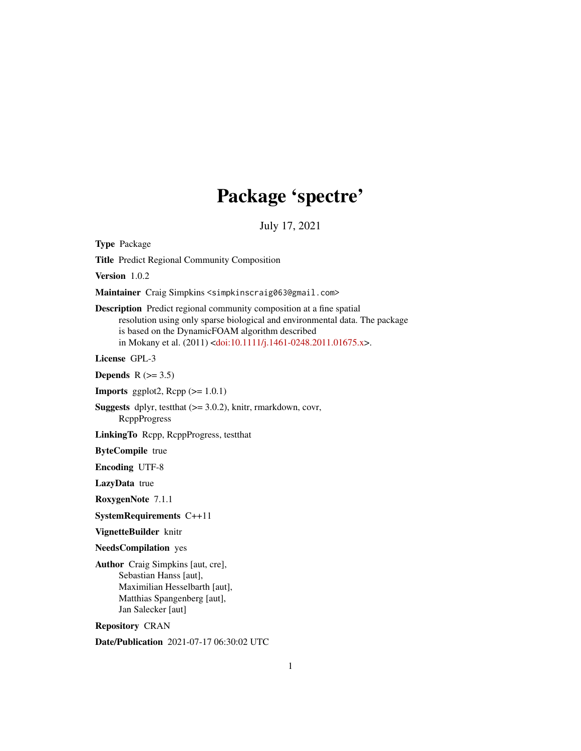# Package 'spectre'

July 17, 2021

Type Package

Title Predict Regional Community Composition

Version 1.0.2

Maintainer Craig Simpkins <simpkinscraig063@gmail.com>

Description Predict regional community composition at a fine spatial resolution using only sparse biological and environmental data. The package is based on the DynamicFOAM algorithm described in Mokany et al. (2011) [<doi:10.1111/j.1461-0248.2011.01675.x>](https://doi.org/10.1111/j.1461-0248.2011.01675.x).

License GPL-3

Depends  $R$  ( $>= 3.5$ )

**Imports** ggplot2,  $\text{Rcpp}$  ( $>= 1.0.1$ )

Suggests dplyr, testthat (>= 3.0.2), knitr, rmarkdown, covr, RcppProgress

LinkingTo Rcpp, RcppProgress, testthat

ByteCompile true

Encoding UTF-8

LazyData true

RoxygenNote 7.1.1

SystemRequirements C++11

VignetteBuilder knitr

NeedsCompilation yes

Author Craig Simpkins [aut, cre], Sebastian Hanss [aut], Maximilian Hesselbarth [aut], Matthias Spangenberg [aut], Jan Salecker [aut]

Repository CRAN

Date/Publication 2021-07-17 06:30:02 UTC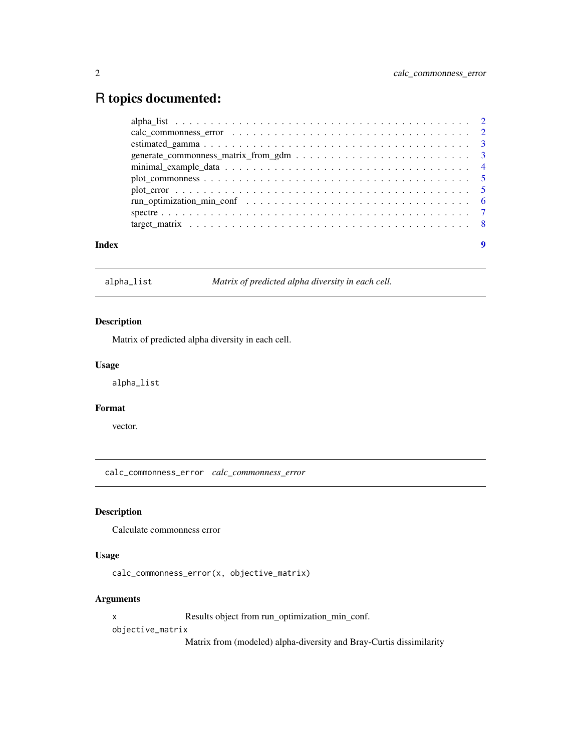# <span id="page-1-0"></span>R topics documented:

| Index |  |
|-------|--|

alpha\_list *Matrix of predicted alpha diversity in each cell.*

#### Description

Matrix of predicted alpha diversity in each cell.

#### Usage

alpha\_list

#### Format

vector.

calc\_commonness\_error *calc\_commonness\_error*

### Description

Calculate commonness error

#### Usage

```
calc_commonness_error(x, objective_matrix)
```
#### Arguments

x Results object from run\_optimization\_min\_conf.

objective\_matrix

Matrix from (modeled) alpha-diversity and Bray-Curtis dissimilarity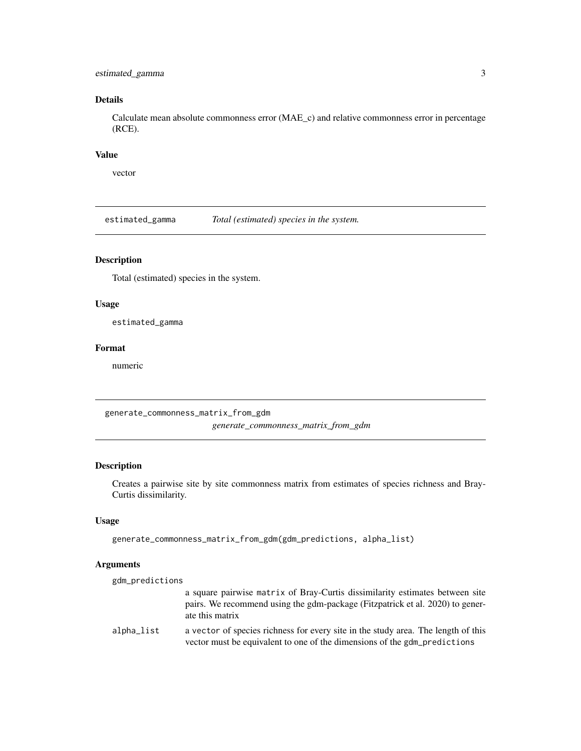#### <span id="page-2-0"></span>estimated\_gamma 3

#### Details

Calculate mean absolute commonness error (MAE\_c) and relative commonness error in percentage (RCE).

#### Value

vector

estimated\_gamma *Total (estimated) species in the system.*

#### Description

Total (estimated) species in the system.

#### Usage

estimated\_gamma

#### Format

numeric

generate\_commonness\_matrix\_from\_gdm

*generate\_commonness\_matrix\_from\_gdm*

#### Description

Creates a pairwise site by site commonness matrix from estimates of species richness and Bray-Curtis dissimilarity.

#### Usage

```
generate_commonness_matrix_from_gdm(gdm_predictions, alpha_list)
```
#### Arguments

| gdm_predictions |                                                                                                                                                                                  |
|-----------------|----------------------------------------------------------------------------------------------------------------------------------------------------------------------------------|
|                 | a square pairwise matrix of Bray-Curtis dissimilarity estimates between site<br>pairs. We recommend using the gdm-package (Fitzpatrick et al. 2020) to gener-<br>ate this matrix |
| alpha_list      | a vector of species richness for every site in the study area. The length of this<br>vector must be equivalent to one of the dimensions of the gdm_predictions                   |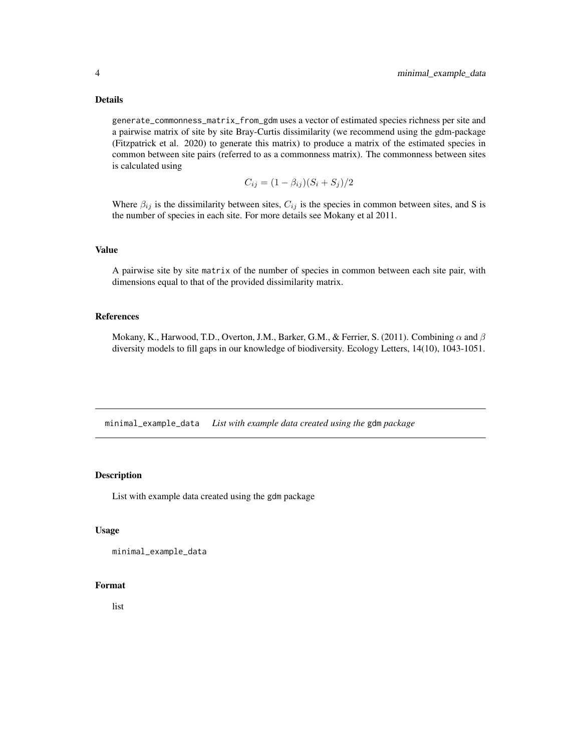#### <span id="page-3-0"></span>Details

generate\_commonness\_matrix\_from\_gdm uses a vector of estimated species richness per site and a pairwise matrix of site by site Bray-Curtis dissimilarity (we recommend using the gdm-package (Fitzpatrick et al. 2020) to generate this matrix) to produce a matrix of the estimated species in common between site pairs (referred to as a commonness matrix). The commonness between sites is calculated using

$$
C_{ij} = (1 - \beta_{ij})(S_i + S_j)/2
$$

Where  $\beta_{ij}$  is the dissimilarity between sites,  $C_{ij}$  is the species in common between sites, and S is the number of species in each site. For more details see Mokany et al 2011.

#### Value

A pairwise site by site matrix of the number of species in common between each site pair, with dimensions equal to that of the provided dissimilarity matrix.

#### References

Mokany, K., Harwood, T.D., Overton, J.M., Barker, G.M., & Ferrier, S. (2011). Combining  $\alpha$  and  $\beta$ diversity models to fill gaps in our knowledge of biodiversity. Ecology Letters, 14(10), 1043-1051.

minimal\_example\_data *List with example data created using the* gdm *package*

#### Description

List with example data created using the gdm package

#### Usage

```
minimal_example_data
```
#### Format

list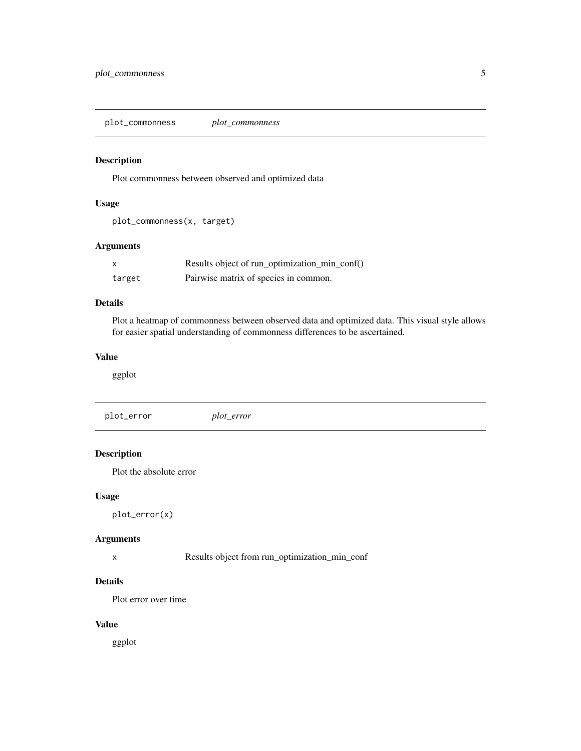<span id="page-4-0"></span>plot\_commonness *plot\_commonness*

#### Description

Plot commonness between observed and optimized data

#### Usage

plot\_commonness(x, target)

#### Arguments

|        | Results object of run_optimization_min_conf() |
|--------|-----------------------------------------------|
| target | Pairwise matrix of species in common.         |

#### Details

Plot a heatmap of commonness between observed data and optimized data. This visual style allows for easier spatial understanding of commonness differences to be ascertained.

#### Value

ggplot

plot\_error *plot\_error*

#### Description

Plot the absolute error

#### Usage

plot\_error(x)

#### Arguments

x Results object from run\_optimization\_min\_conf

#### Details

Plot error over time

#### Value

ggplot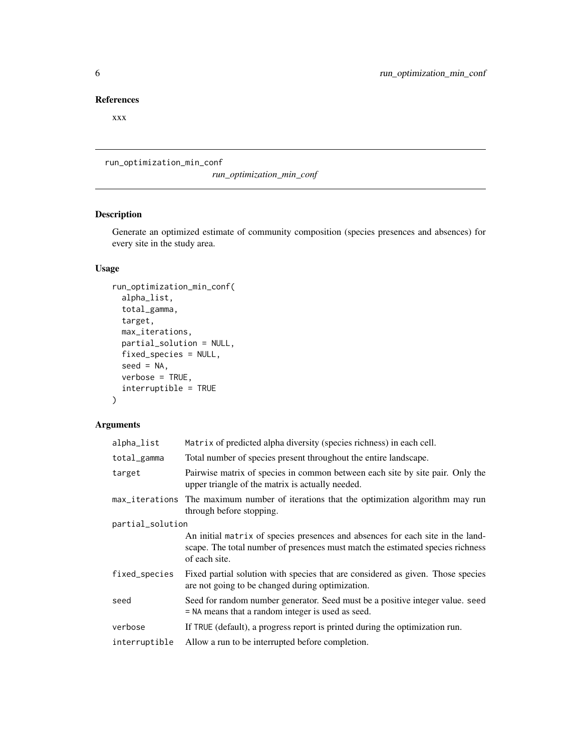#### <span id="page-5-0"></span>References

xxx

run\_optimization\_min\_conf

*run\_optimization\_min\_conf*

#### Description

Generate an optimized estimate of community composition (species presences and absences) for every site in the study area.

#### Usage

```
run_optimization_min_conf(
  alpha_list,
  total_gamma,
  target,
 max_iterations,
 partial_solution = NULL,
 fixed_species = NULL,
 seed = NA,
 verbose = TRUE,
  interruptible = TRUE
\mathcal{L}
```
#### Arguments

| alpha_list       | Matrix of predicted alpha diversity (species richness) in each cell.                                                                                                              |
|------------------|-----------------------------------------------------------------------------------------------------------------------------------------------------------------------------------|
| total_gamma      | Total number of species present throughout the entire landscape.                                                                                                                  |
| target           | Pairwise matrix of species in common between each site by site pair. Only the<br>upper triangle of the matrix is actually needed.                                                 |
|                  | max_iterations The maximum number of iterations that the optimization algorithm may run<br>through before stopping.                                                               |
| partial_solution |                                                                                                                                                                                   |
|                  | An initial matrix of species presences and absences for each site in the land-<br>scape. The total number of presences must match the estimated species richness<br>of each site. |
| fixed_species    | Fixed partial solution with species that are considered as given. Those species<br>are not going to be changed during optimization.                                               |
| seed             | Seed for random number generator. Seed must be a positive integer value. seed<br>= NA means that a random integer is used as seed.                                                |
| verbose          | If TRUE (default), a progress report is printed during the optimization run.                                                                                                      |
| interruptible    | Allow a run to be interrupted before completion.                                                                                                                                  |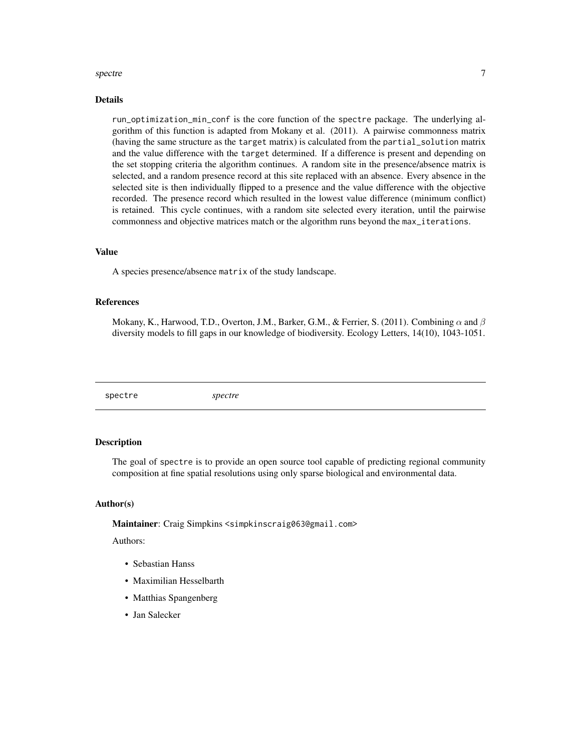#### <span id="page-6-0"></span>spectre  $\overline{7}$

#### Details

run\_optimization\_min\_conf is the core function of the spectre package. The underlying algorithm of this function is adapted from Mokany et al. (2011). A pairwise commonness matrix (having the same structure as the target matrix) is calculated from the partial\_solution matrix and the value difference with the target determined. If a difference is present and depending on the set stopping criteria the algorithm continues. A random site in the presence/absence matrix is selected, and a random presence record at this site replaced with an absence. Every absence in the selected site is then individually flipped to a presence and the value difference with the objective recorded. The presence record which resulted in the lowest value difference (minimum conflict) is retained. This cycle continues, with a random site selected every iteration, until the pairwise commonness and objective matrices match or the algorithm runs beyond the max\_iterations.

#### Value

A species presence/absence matrix of the study landscape.

#### References

Mokany, K., Harwood, T.D., Overton, J.M., Barker, G.M., & Ferrier, S. (2011). Combining  $\alpha$  and  $\beta$ diversity models to fill gaps in our knowledge of biodiversity. Ecology Letters, 14(10), 1043-1051.

#### Description

The goal of spectre is to provide an open source tool capable of predicting regional community composition at fine spatial resolutions using only sparse biological and environmental data.

#### Author(s)

Maintainer: Craig Simpkins <simpkinscraig063@gmail.com>

Authors:

- Sebastian Hanss
- Maximilian Hesselbarth
- Matthias Spangenberg
- Jan Salecker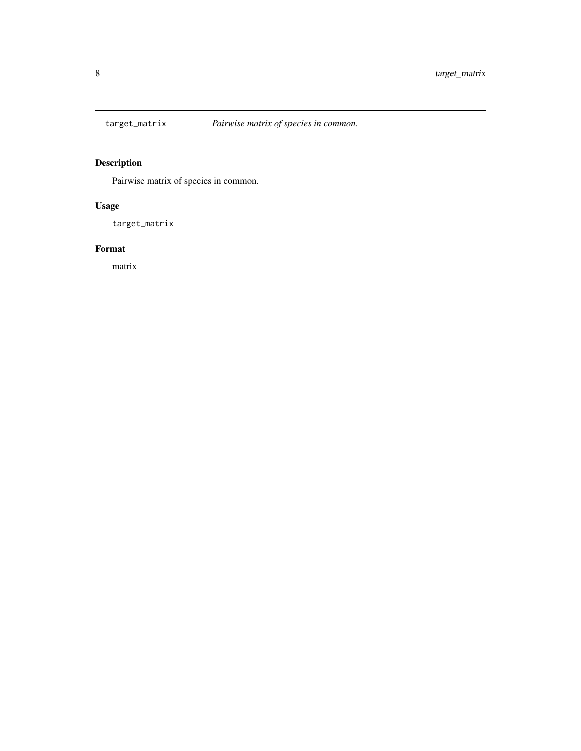<span id="page-7-0"></span>

## Description

Pairwise matrix of species in common.

## Usage

target\_matrix

#### Format

matrix